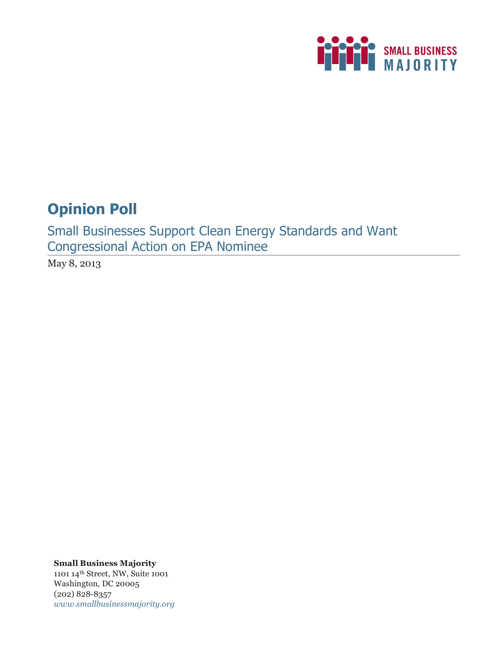

# **Opinion Poll**

Small Businesses Support Clean Energy Standards and Want Congressional Action on EPA Nominee

May 8, 2013

**Small Business Majority** 1101 14th Street, NW, Suite 1001 Washington, DC 20005 (202) 828-8357 *www.smallbusinessmajority.org*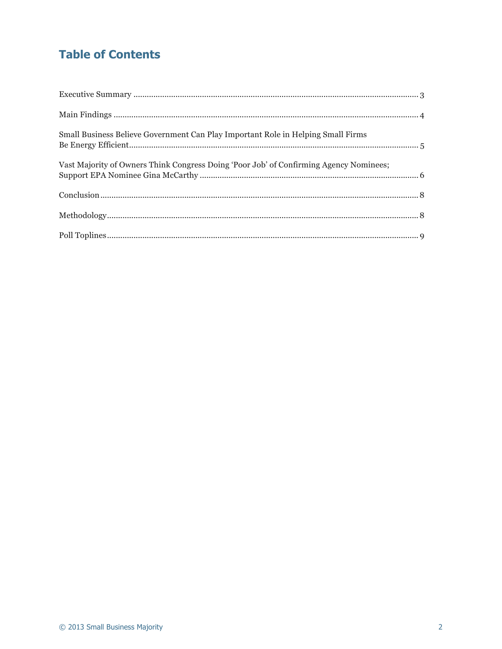# **Table of Contents**

| Small Business Believe Government Can Play Important Role in Helping Small Firms       |  |
|----------------------------------------------------------------------------------------|--|
| Vast Majority of Owners Think Congress Doing 'Poor Job' of Confirming Agency Nominees; |  |
|                                                                                        |  |
|                                                                                        |  |
|                                                                                        |  |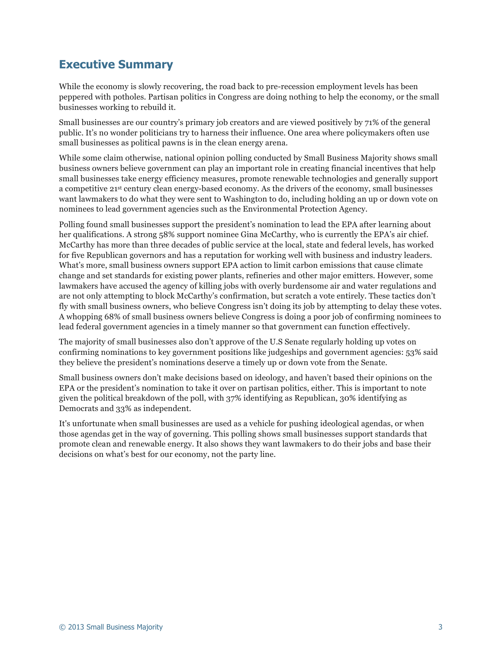### **Executive Summary**

While the economy is slowly recovering, the road back to pre-recession employment levels has been peppered with potholes. Partisan politics in Congress are doing nothing to help the economy, or the small businesses working to rebuild it.

Small businesses are our country's primary job creators and are viewed positively by 71% of the general public. It's no wonder politicians try to harness their influence. One area where policymakers often use small businesses as political pawns is in the clean energy arena.

While some claim otherwise, national opinion polling conducted by Small Business Majority shows small business owners believe government can play an important role in creating financial incentives that help small businesses take energy efficiency measures, promote renewable technologies and generally support a competitive 21st century clean energy-based economy. As the drivers of the economy, small businesses want lawmakers to do what they were sent to Washington to do, including holding an up or down vote on nominees to lead government agencies such as the Environmental Protection Agency.

Polling found small businesses support the president's nomination to lead the EPA after learning about her qualifications. A strong 58% support nominee Gina McCarthy, who is currently the EPA's air chief. McCarthy has more than three decades of public service at the local, state and federal levels, has worked for five Republican governors and has a reputation for working well with business and industry leaders. What's more, small business owners support EPA action to limit carbon emissions that cause climate change and set standards for existing power plants, refineries and other major emitters. However, some lawmakers have accused the agency of killing jobs with overly burdensome air and water regulations and are not only attempting to block McCarthy's confirmation, but scratch a vote entirely. These tactics don't fly with small business owners, who believe Congress isn't doing its job by attempting to delay these votes. A whopping 68% of small business owners believe Congress is doing a poor job of confirming nominees to lead federal government agencies in a timely manner so that government can function effectively.

The majority of small businesses also don't approve of the U.S Senate regularly holding up votes on confirming nominations to key government positions like judgeships and government agencies: 53% said they believe the president's nominations deserve a timely up or down vote from the Senate.

Small business owners don't make decisions based on ideology, and haven't based their opinions on the EPA or the president's nomination to take it over on partisan politics, either. This is important to note given the political breakdown of the poll, with 37% identifying as Republican, 30% identifying as Democrats and 33% as independent.

It's unfortunate when small businesses are used as a vehicle for pushing ideological agendas, or when those agendas get in the way of governing. This polling shows small businesses support standards that promote clean and renewable energy. It also shows they want lawmakers to do their jobs and base their decisions on what's best for our economy, not the party line.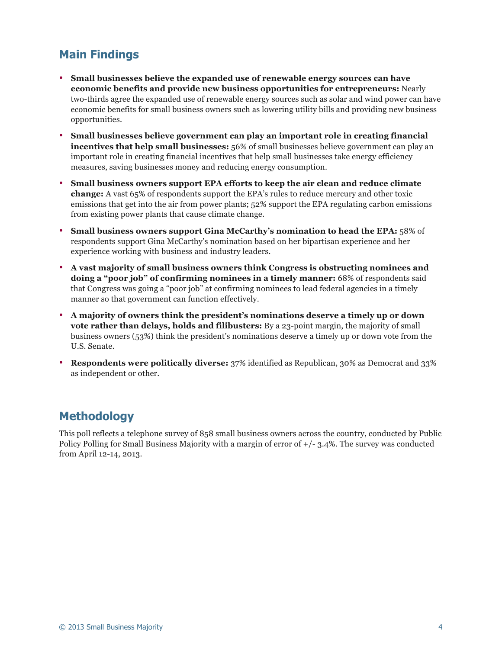## **Main Findings**

- **Small businesses believe the expanded use of renewable energy sources can have economic benefits and provide new business opportunities for entrepreneurs:** Nearly two-thirds agree the expanded use of renewable energy sources such as solar and wind power can have economic benefits for small business owners such as lowering utility bills and providing new business opportunities.
- **Small businesses believe government can play an important role in creating financial incentives that help small businesses:** 56% of small businesses believe government can play an important role in creating financial incentives that help small businesses take energy efficiency measures, saving businesses money and reducing energy consumption.
- **Small business owners support EPA efforts to keep the air clean and reduce climate change:** A vast 65% of respondents support the EPA's rules to reduce mercury and other toxic emissions that get into the air from power plants; 52% support the EPA regulating carbon emissions from existing power plants that cause climate change.
- **Small business owners support Gina McCarthy's nomination to head the EPA:** 58% of respondents support Gina McCarthy's nomination based on her bipartisan experience and her experience working with business and industry leaders.
- **A vast majority of small business owners think Congress is obstructing nominees and doing a "poor job" of confirming nominees in a timely manner:** 68% of respondents said that Congress was going a "poor job" at confirming nominees to lead federal agencies in a timely manner so that government can function effectively.
- **A majority of owners think the president's nominations deserve a timely up or down vote rather than delays, holds and filibusters:** By a 23-point margin, the majority of small business owners (53%) think the president's nominations deserve a timely up or down vote from the U.S. Senate.
- **Respondents were politically diverse:** 37% identified as Republican, 30% as Democrat and 33% as independent or other.

### **Methodology**

This poll reflects a telephone survey of 858 small business owners across the country, conducted by Public Policy Polling for Small Business Majority with a margin of error of +/- 3.4%. The survey was conducted from April 12-14, 2013.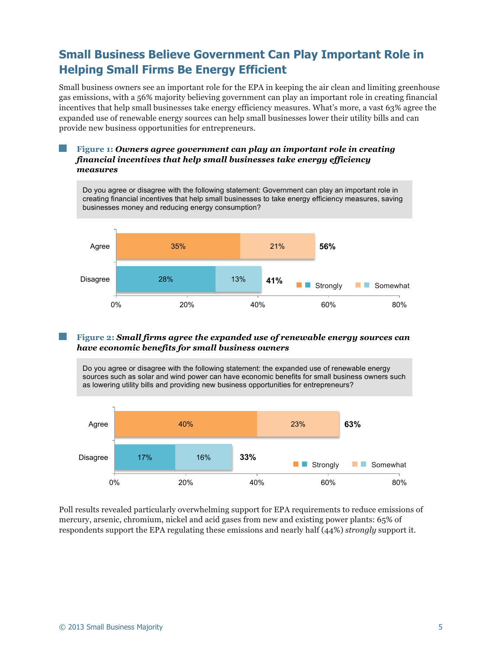# **Small Business Believe Government Can Play Important Role in Helping Small Firms Be Energy Efficient**

Small business owners see an important role for the EPA in keeping the air clean and limiting greenhouse gas emissions, with a 56% majority believing government can play an important role in creating financial incentives that help small businesses take energy efficiency measures. What's more, a vast 63% agree the expanded use of renewable energy sources can help small businesses lower their utility bills and can provide new business opportunities for entrepreneurs.

#### **Figure 1:** *Owners agree government can play an important role in creating financial incentives that help small businesses take energy efficiency measures*

Do you agree or disagree with the following statement: Government can play an important role in creating financial incentives that help small businesses to take energy efficiency measures, saving businesses money and reducing energy consumption?



#### **Figure 2:** *Small firms agree the expanded use of renewable energy sources can have economic benefits for small business owners*

Do you agree or disagree with the following statement: the expanded use of renewable energy sources such as solar and wind power can have economic benefits for small business owners such as lowering utility bills and providing new business opportunities for entrepreneurs?



Poll results revealed particularly overwhelming support for EPA requirements to reduce emissions of mercury, arsenic, chromium, nickel and acid gases from new and existing power plants: 65% of respondents support the EPA regulating these emissions and nearly half (44%) *strongly* support it.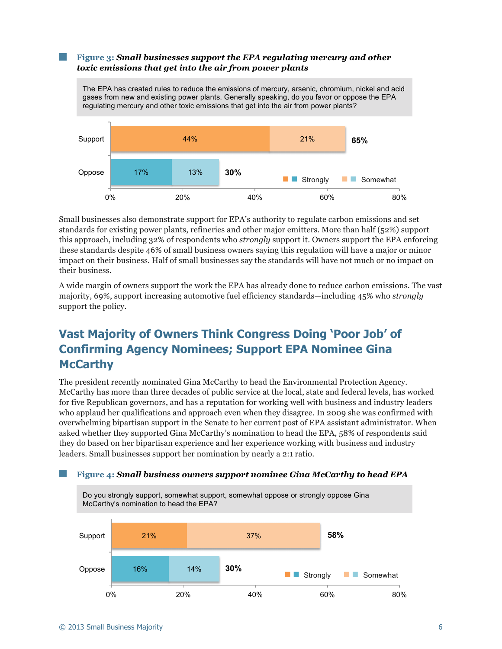#### **Figure 3:** *Small businesses support the EPA regulating mercury and other toxic emissions that get into the air from power plants*



Small businesses also demonstrate support for EPA's authority to regulate carbon emissions and set standards for existing power plants, refineries and other major emitters. More than half (52%) support this approach, including 32% of respondents who *strongly* support it. Owners support the EPA enforcing these standards despite 46% of small business owners saying this regulation will have a major or minor impact on their business. Half of small businesses say the standards will have not much or no impact on their business.

A wide margin of owners support the work the EPA has already done to reduce carbon emissions. The vast majority, 69%, support increasing automotive fuel efficiency standards—including 45% who *strongly*  support the policy.

# **Vast Majority of Owners Think Congress Doing 'Poor Job' of Confirming Agency Nominees; Support EPA Nominee Gina McCarthy**

The president recently nominated Gina McCarthy to head the Environmental Protection Agency. McCarthy has more than three decades of public service at the local, state and federal levels, has worked for five Republican governors, and has a reputation for working well with business and industry leaders who applaud her qualifications and approach even when they disagree. In 2009 she was confirmed with overwhelming bipartisan support in the Senate to her current post of EPA assistant administrator. When asked whether they supported Gina McCarthy's nomination to head the EPA, 58% of respondents said they do based on her bipartisan experience and her experience working with business and industry leaders. Small businesses support her nomination by nearly a 2:1 ratio.

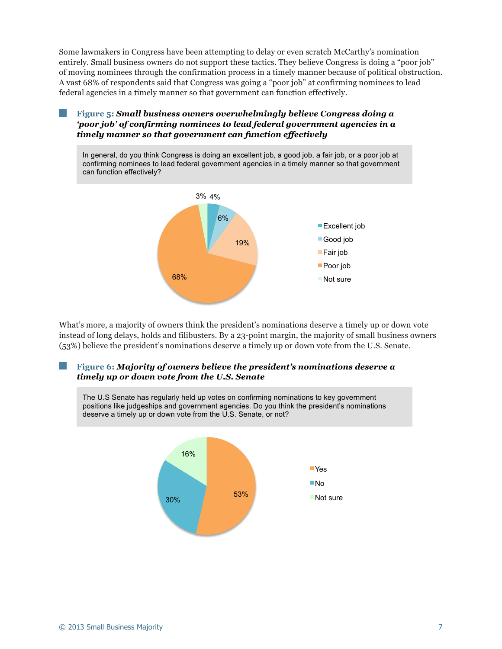Some lawmakers in Congress have been attempting to delay or even scratch McCarthy's nomination entirely. Small business owners do not support these tactics. They believe Congress is doing a "poor job" of moving nominees through the confirmation process in a timely manner because of political obstruction. A vast 68% of respondents said that Congress was going a "poor job" at confirming nominees to lead federal agencies in a timely manner so that government can function effectively.

#### **Figure 5:** *Small business owners overwhelmingly believe Congress doing a 'poor job' of confirming nominees to lead federal government agencies in a timely manner so that government can function effectively*

In general, do you think Congress is doing an excellent job, a good job, a fair job, or a poor job at confirming nominees to lead federal government agencies in a timely manner so that government can function effectively?



What's more, a majority of owners think the president's nominations deserve a timely up or down vote instead of long delays, holds and filibusters. By a 23-point margin, the majority of small business owners (53%) believe the president's nominations deserve a timely up or down vote from the U.S. Senate.

#### **Figure 6:** *Majority of owners believe the president's nominations deserve a timely up or down vote from the U.S. Senate*

53% 30% 16% Yes **■No Not sure** The U.S Senate has regularly held up votes on confirming nominations to key government positions like judgeships and government agencies. Do you think the president's nominations deserve a timely up or down vote from the U.S. Senate, or not?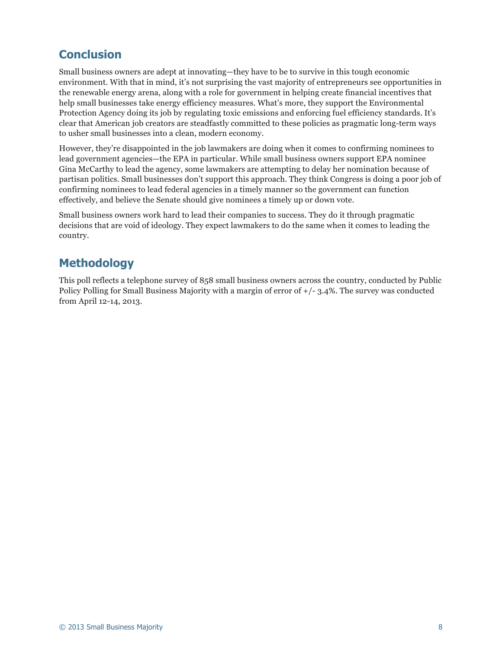### **Conclusion**

Small business owners are adept at innovating—they have to be to survive in this tough economic environment. With that in mind, it's not surprising the vast majority of entrepreneurs see opportunities in the renewable energy arena, along with a role for government in helping create financial incentives that help small businesses take energy efficiency measures. What's more, they support the Environmental Protection Agency doing its job by regulating toxic emissions and enforcing fuel efficiency standards. It's clear that American job creators are steadfastly committed to these policies as pragmatic long-term ways to usher small businesses into a clean, modern economy.

However, they're disappointed in the job lawmakers are doing when it comes to confirming nominees to lead government agencies—the EPA in particular. While small business owners support EPA nominee Gina McCarthy to lead the agency, some lawmakers are attempting to delay her nomination because of partisan politics. Small businesses don't support this approach. They think Congress is doing a poor job of confirming nominees to lead federal agencies in a timely manner so the government can function effectively, and believe the Senate should give nominees a timely up or down vote.

Small business owners work hard to lead their companies to success. They do it through pragmatic decisions that are void of ideology. They expect lawmakers to do the same when it comes to leading the country.

### **Methodology**

This poll reflects a telephone survey of 858 small business owners across the country, conducted by Public Policy Polling for Small Business Majority with a margin of error of +/- 3.4%. The survey was conducted from April 12-14, 2013.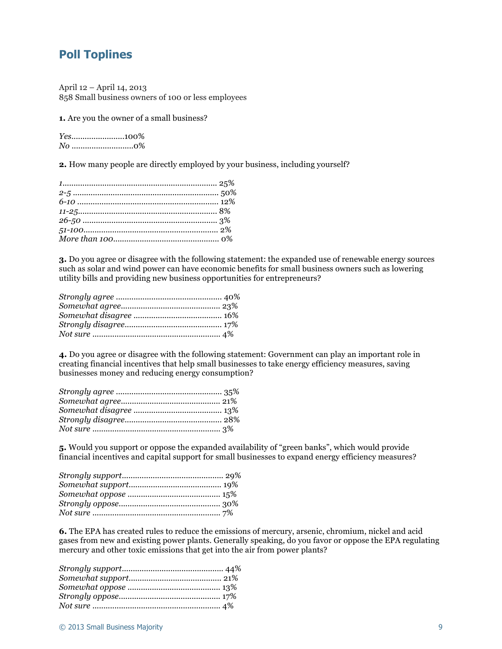### **Poll Toplines**

April 12 – April 14, 2013 858 Small business owners of 100 or less employees

**1.** Are you the owner of a small business?

*Yes*........................100% *No* ............................0%

**2.** How many people are directly employed by your business, including yourself?

**3.** Do you agree or disagree with the following statement: the expanded use of renewable energy sources such as solar and wind power can have economic benefits for small business owners such as lowering utility bills and providing new business opportunities for entrepreneurs?

**4.** Do you agree or disagree with the following statement: Government can play an important role in creating financial incentives that help small businesses to take energy efficiency measures, saving businesses money and reducing energy consumption?

**5.** Would you support or oppose the expanded availability of "green banks", which would provide financial incentives and capital support for small businesses to expand energy efficiency measures?

**6.** The EPA has created rules to reduce the emissions of mercury, arsenic, chromium, nickel and acid gases from new and existing power plants. Generally speaking, do you favor or oppose the EPA regulating mercury and other toxic emissions that get into the air from power plants?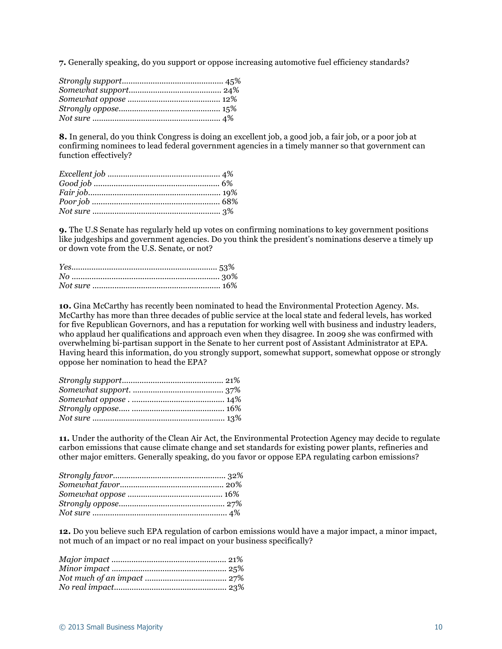**7.** Generally speaking, do you support or oppose increasing automotive fuel efficiency standards?

**8.** In general, do you think Congress is doing an excellent job, a good job, a fair job, or a poor job at confirming nominees to lead federal government agencies in a timely manner so that government can function effectively?

**9.** The U.S Senate has regularly held up votes on confirming nominations to key government positions like judgeships and government agencies. Do you think the president's nominations deserve a timely up or down vote from the U.S. Senate, or not?

**10.** Gina McCarthy has recently been nominated to head the Environmental Protection Agency. Ms. McCarthy has more than three decades of public service at the local state and federal levels, has worked for five Republican Governors, and has a reputation for working well with business and industry leaders, who applaud her qualifications and approach even when they disagree. In 2009 she was confirmed with overwhelming bi-partisan support in the Senate to her current post of Assistant Administrator at EPA. Having heard this information, do you strongly support, somewhat support, somewhat oppose or strongly oppose her nomination to head the EPA?

**11.** Under the authority of the Clean Air Act, the Environmental Protection Agency may decide to regulate carbon emissions that cause climate change and set standards for existing power plants, refineries and other major emitters. Generally speaking, do you favor or oppose EPA regulating carbon emissions?

**12.** Do you believe such EPA regulation of carbon emissions would have a major impact, a minor impact, not much of an impact or no real impact on your business specifically?